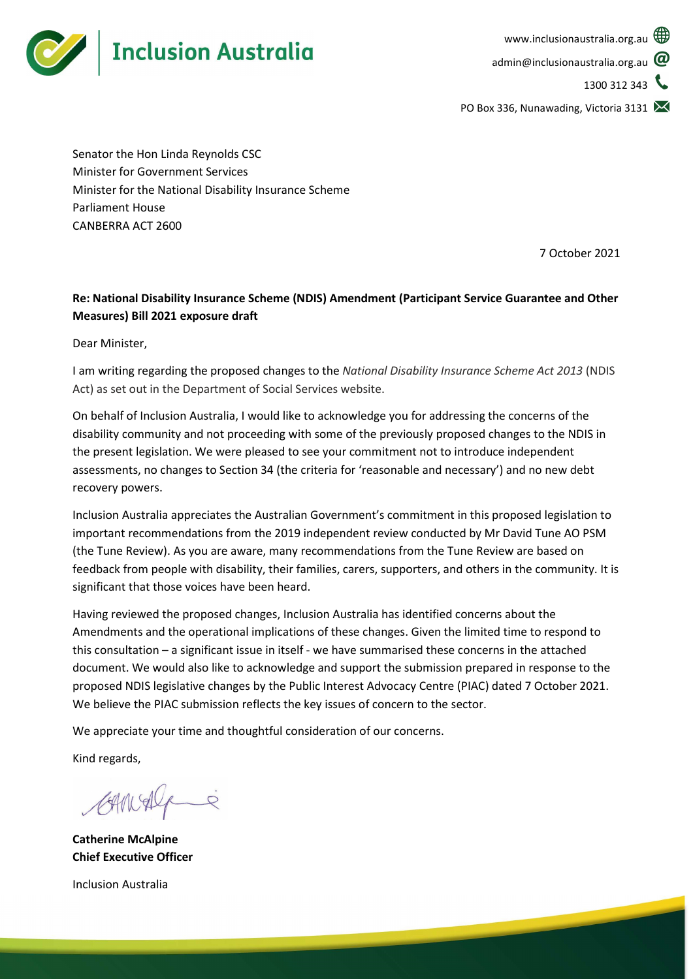

PO Box 336, Nunawading, Victoria 3131

Senator the Hon Linda Reynolds CSC Minister for Government Services Minister for the National Disability Insurance Scheme Parliament House CANBERRA ACT 2600

7 October 2021

# Re: National Disability Insurance Scheme (NDIS) Amendment (Participant Service Guarantee and Other Measures) Bill 2021 exposure draft

Dear Minister,

I am writing regarding the proposed changes to the National Disability Insurance Scheme Act 2013 (NDIS Act) as set out in the Department of Social Services website.

On behalf of Inclusion Australia, I would like to acknowledge you for addressing the concerns of the disability community and not proceeding with some of the previously proposed changes to the NDIS in the present legislation. We were pleased to see your commitment not to introduce independent assessments, no changes to Section 34 (the criteria for 'reasonable and necessary') and no new debt recovery powers.

Inclusion Australia appreciates the Australian Government's commitment in this proposed legislation to important recommendations from the 2019 independent review conducted by Mr David Tune AO PSM (the Tune Review). As you are aware, many recommendations from the Tune Review are based on feedback from people with disability, their families, carers, supporters, and others in the community. It is significant that those voices have been heard.

Having reviewed the proposed changes, Inclusion Australia has identified concerns about the Amendments and the operational implications of these changes. Given the limited time to respond to this consultation – a significant issue in itself - we have summarised these concerns in the attached document. We would also like to acknowledge and support the submission prepared in response to the proposed NDIS legislative changes by the Public Interest Advocacy Centre (PIAC) dated 7 October 2021. We believe the PIAC submission reflects the key issues of concern to the sector.

We appreciate your time and thoughtful consideration of our concerns.

Kind regards,

CAMAlgie

Catherine McAlpine Chief Executive Officer

Inclusion Australia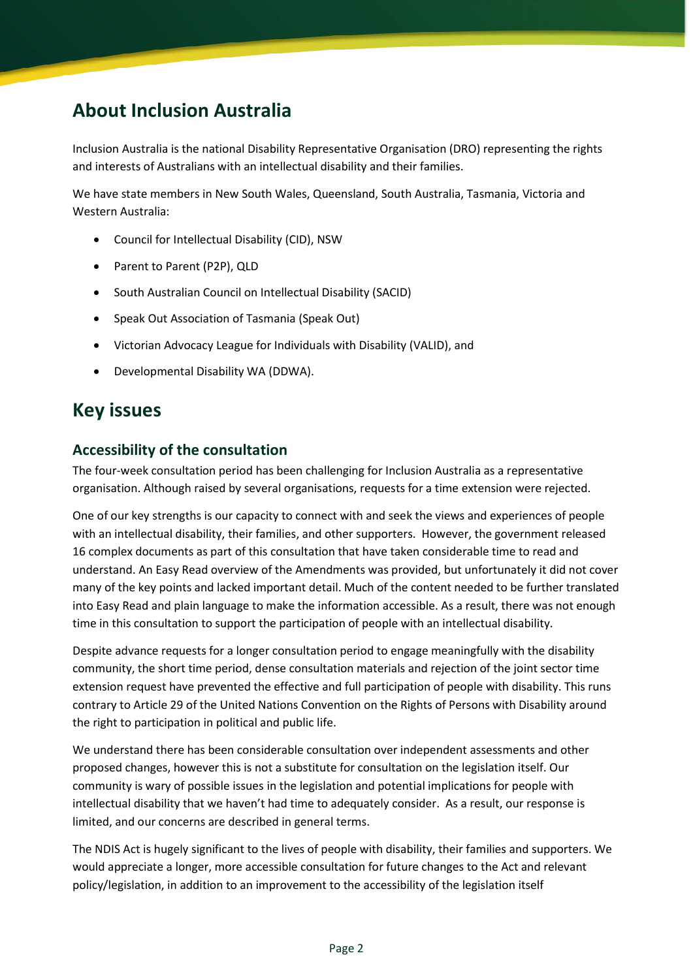# About Inclusion Australia

Inclusion Australia is the national Disability Representative Organisation (DRO) representing the rights and interests of Australians with an intellectual disability and their families.

We have state members in New South Wales, Queensland, South Australia, Tasmania, Victoria and Western Australia:

- Council for Intellectual Disability (CID), NSW
- Parent to Parent (P2P), QLD
- South Australian Council on Intellectual Disability (SACID)
- Speak Out Association of Tasmania (Speak Out)
- Victorian Advocacy League for Individuals with Disability (VALID), and
- Developmental Disability WA (DDWA).

# Key issues

## Accessibility of the consultation

The four-week consultation period has been challenging for Inclusion Australia as a representative organisation. Although raised by several organisations, requests for a time extension were rejected.

One of our key strengths is our capacity to connect with and seek the views and experiences of people with an intellectual disability, their families, and other supporters. However, the government released 16 complex documents as part of this consultation that have taken considerable time to read and understand. An Easy Read overview of the Amendments was provided, but unfortunately it did not cover many of the key points and lacked important detail. Much of the content needed to be further translated into Easy Read and plain language to make the information accessible. As a result, there was not enough time in this consultation to support the participation of people with an intellectual disability.

Despite advance requests for a longer consultation period to engage meaningfully with the disability community, the short time period, dense consultation materials and rejection of the joint sector time extension request have prevented the effective and full participation of people with disability. This runs contrary to Article 29 of the United Nations Convention on the Rights of Persons with Disability around the right to participation in political and public life.

We understand there has been considerable consultation over independent assessments and other proposed changes, however this is not a substitute for consultation on the legislation itself. Our community is wary of possible issues in the legislation and potential implications for people with intellectual disability that we haven't had time to adequately consider. As a result, our response is limited, and our concerns are described in general terms.

The NDIS Act is hugely significant to the lives of people with disability, their families and supporters. We would appreciate a longer, more accessible consultation for future changes to the Act and relevant policy/legislation, in addition to an improvement to the accessibility of the legislation itself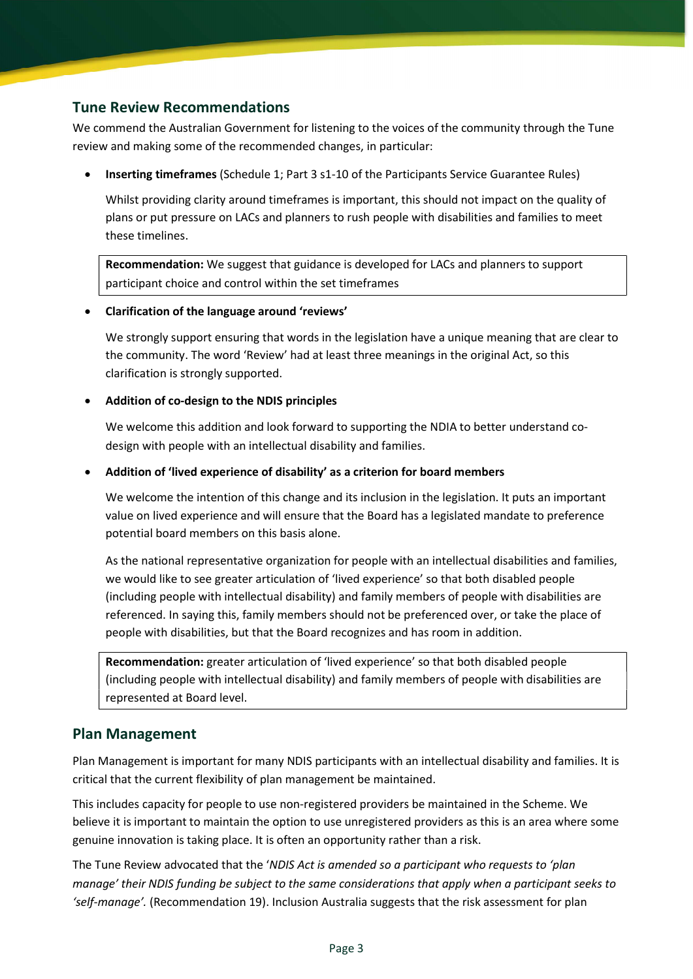# Tune Review Recommendations

We commend the Australian Government for listening to the voices of the community through the Tune review and making some of the recommended changes, in particular:

Inserting timeframes (Schedule 1; Part 3 s1-10 of the Participants Service Guarantee Rules)

Whilst providing clarity around timeframes is important, this should not impact on the quality of plans or put pressure on LACs and planners to rush people with disabilities and families to meet these timelines.

Recommendation: We suggest that guidance is developed for LACs and planners to support participant choice and control within the set timeframes

#### Clarification of the language around 'reviews'

We strongly support ensuring that words in the legislation have a unique meaning that are clear to the community. The word 'Review' had at least three meanings in the original Act, so this clarification is strongly supported.

#### Addition of co-design to the NDIS principles

We welcome this addition and look forward to supporting the NDIA to better understand codesign with people with an intellectual disability and families.

#### Addition of 'lived experience of disability' as a criterion for board members

We welcome the intention of this change and its inclusion in the legislation. It puts an important value on lived experience and will ensure that the Board has a legislated mandate to preference potential board members on this basis alone.

As the national representative organization for people with an intellectual disabilities and families, we would like to see greater articulation of 'lived experience' so that both disabled people (including people with intellectual disability) and family members of people with disabilities are referenced. In saying this, family members should not be preferenced over, or take the place of people with disabilities, but that the Board recognizes and has room in addition.

Recommendation: greater articulation of 'lived experience' so that both disabled people (including people with intellectual disability) and family members of people with disabilities are represented at Board level.

## Plan Management

Plan Management is important for many NDIS participants with an intellectual disability and families. It is critical that the current flexibility of plan management be maintained.

This includes capacity for people to use non-registered providers be maintained in the Scheme. We believe it is important to maintain the option to use unregistered providers as this is an area where some genuine innovation is taking place. It is often an opportunity rather than a risk.

The Tune Review advocated that the 'NDIS Act is amended so a participant who requests to 'plan manage' their NDIS funding be subject to the same considerations that apply when a participant seeks to 'self-manage'. (Recommendation 19). Inclusion Australia suggests that the risk assessment for plan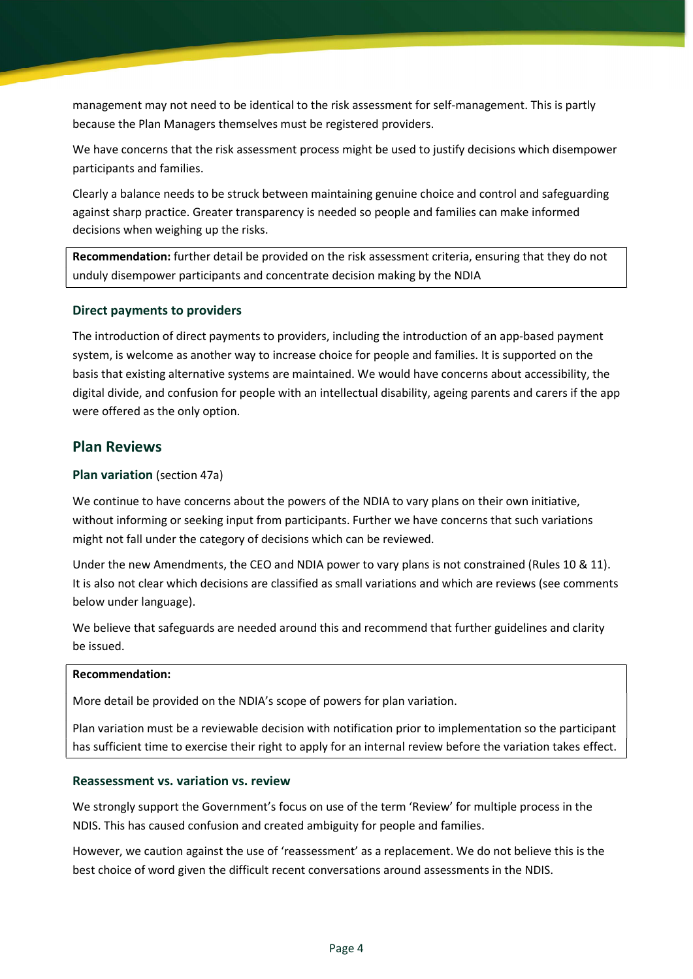management may not need to be identical to the risk assessment for self-management. This is partly because the Plan Managers themselves must be registered providers.

We have concerns that the risk assessment process might be used to justify decisions which disempower participants and families.

Clearly a balance needs to be struck between maintaining genuine choice and control and safeguarding against sharp practice. Greater transparency is needed so people and families can make informed decisions when weighing up the risks.

Recommendation: further detail be provided on the risk assessment criteria, ensuring that they do not unduly disempower participants and concentrate decision making by the NDIA

#### Direct payments to providers

The introduction of direct payments to providers, including the introduction of an app-based payment system, is welcome as another way to increase choice for people and families. It is supported on the basis that existing alternative systems are maintained. We would have concerns about accessibility, the digital divide, and confusion for people with an intellectual disability, ageing parents and carers if the app were offered as the only option.

### Plan Reviews

#### Plan variation (section 47a)

We continue to have concerns about the powers of the NDIA to vary plans on their own initiative, without informing or seeking input from participants. Further we have concerns that such variations might not fall under the category of decisions which can be reviewed.

Under the new Amendments, the CEO and NDIA power to vary plans is not constrained (Rules 10 & 11). It is also not clear which decisions are classified as small variations and which are reviews (see comments below under language).

We believe that safeguards are needed around this and recommend that further guidelines and clarity be issued.

#### Recommendation:

More detail be provided on the NDIA's scope of powers for plan variation.

Plan variation must be a reviewable decision with notification prior to implementation so the participant has sufficient time to exercise their right to apply for an internal review before the variation takes effect.

#### Reassessment vs. variation vs. review

We strongly support the Government's focus on use of the term 'Review' for multiple process in the NDIS. This has caused confusion and created ambiguity for people and families.

However, we caution against the use of 'reassessment' as a replacement. We do not believe this is the best choice of word given the difficult recent conversations around assessments in the NDIS.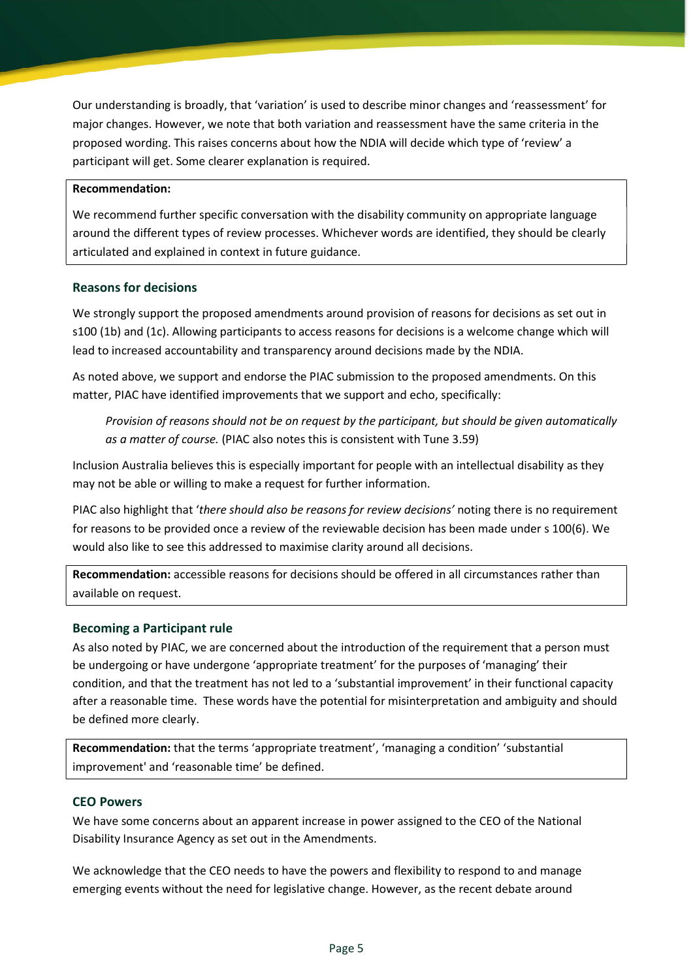Our understanding is broadly, that 'variation' is used to describe minor changes and 'reassessment' for major changes. However, we note that both variation and reassessment have the same criteria in the proposed wording. This raises concerns about how the NDIA will decide which type of 'review' a participant will get. Some clearer explanation is required.

#### Recommendation:

We recommend further specific conversation with the disability community on appropriate language around the different types of review processes. Whichever words are identified, they should be clearly articulated and explained in context in future guidance.

#### Reasons for decisions

We strongly support the proposed amendments around provision of reasons for decisions as set out in s100 (1b) and (1c). Allowing participants to access reasons for decisions is a welcome change which will lead to increased accountability and transparency around decisions made by the NDIA.

As noted above, we support and endorse the PIAC submission to the proposed amendments. On this matter, PIAC have identified improvements that we support and echo, specifically:

Provision of reasons should not be on request by the participant, but should be given automatically as a matter of course. (PIAC also notes this is consistent with Tune 3.59)

Inclusion Australia believes this is especially important for people with an intellectual disability as they may not be able or willing to make a request for further information.

PIAC also highlight that 'there should also be reasons for review decisions' noting there is no requirement for reasons to be provided once a review of the reviewable decision has been made under s 100(6). We would also like to see this addressed to maximise clarity around all decisions.

Recommendation: accessible reasons for decisions should be offered in all circumstances rather than available on request.

#### Becoming a Participant rule

As also noted by PIAC, we are concerned about the introduction of the requirement that a person must be undergoing or have undergone 'appropriate treatment' for the purposes of 'managing' their condition, and that the treatment has not led to a 'substantial improvement' in their functional capacity after a reasonable time. These words have the potential for misinterpretation and ambiguity and should be defined more clearly.

Recommendation: that the terms 'appropriate treatment', 'managing a condition' 'substantial improvement' and 'reasonable time' be defined.

#### CEO Powers

We have some concerns about an apparent increase in power assigned to the CEO of the National Disability Insurance Agency as set out in the Amendments.

We acknowledge that the CEO needs to have the powers and flexibility to respond to and manage emerging events without the need for legislative change. However, as the recent debate around